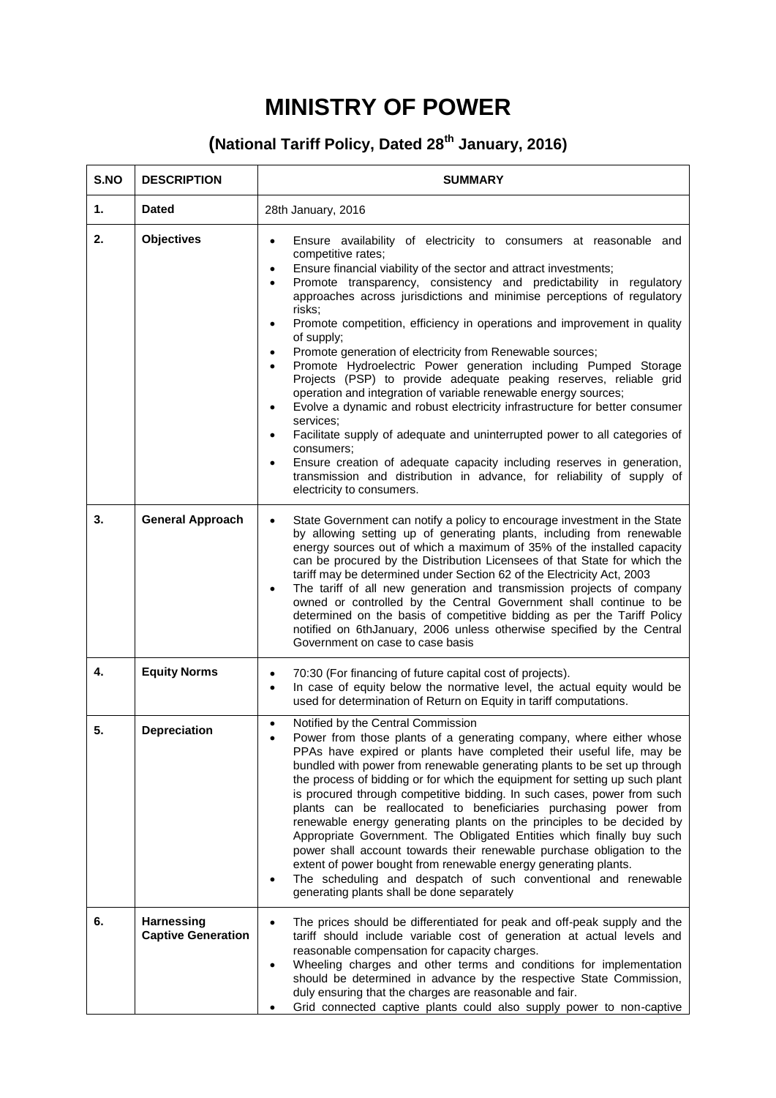## **MINISTRY OF POWER**

## **(National Tariff Policy, Dated 28th January, 2016)**

| S.NO | <b>DESCRIPTION</b>                             | <b>SUMMARY</b>                                                                                                                                                                                                                                                                                                                                                                                                                                                                                                                                                                                                                                                                                                                                                                                                                                                                                                                                                                                                                                                                                                                                       |  |
|------|------------------------------------------------|------------------------------------------------------------------------------------------------------------------------------------------------------------------------------------------------------------------------------------------------------------------------------------------------------------------------------------------------------------------------------------------------------------------------------------------------------------------------------------------------------------------------------------------------------------------------------------------------------------------------------------------------------------------------------------------------------------------------------------------------------------------------------------------------------------------------------------------------------------------------------------------------------------------------------------------------------------------------------------------------------------------------------------------------------------------------------------------------------------------------------------------------------|--|
| 1.   | <b>Dated</b>                                   | 28th January, 2016                                                                                                                                                                                                                                                                                                                                                                                                                                                                                                                                                                                                                                                                                                                                                                                                                                                                                                                                                                                                                                                                                                                                   |  |
| 2.   | <b>Objectives</b>                              | Ensure availability of electricity to consumers at reasonable and<br>competitive rates;<br>Ensure financial viability of the sector and attract investments;<br>$\bullet$<br>Promote transparency, consistency and predictability in regulatory<br>$\bullet$<br>approaches across jurisdictions and minimise perceptions of regulatory<br>risks;<br>Promote competition, efficiency in operations and improvement in quality<br>$\bullet$<br>of supply;<br>Promote generation of electricity from Renewable sources;<br>٠<br>Promote Hydroelectric Power generation including Pumped Storage<br>Projects (PSP) to provide adequate peaking reserves, reliable grid<br>operation and integration of variable renewable energy sources;<br>Evolve a dynamic and robust electricity infrastructure for better consumer<br>$\bullet$<br>services;<br>Facilitate supply of adequate and uninterrupted power to all categories of<br>$\bullet$<br>consumers;<br>Ensure creation of adequate capacity including reserves in generation,<br>$\bullet$<br>transmission and distribution in advance, for reliability of supply of<br>electricity to consumers. |  |
| 3.   | <b>General Approach</b>                        | State Government can notify a policy to encourage investment in the State<br>by allowing setting up of generating plants, including from renewable<br>energy sources out of which a maximum of 35% of the installed capacity<br>can be procured by the Distribution Licensees of that State for which the<br>tariff may be determined under Section 62 of the Electricity Act, 2003<br>The tariff of all new generation and transmission projects of company<br>$\bullet$<br>owned or controlled by the Central Government shall continue to be<br>determined on the basis of competitive bidding as per the Tariff Policy<br>notified on 6thJanuary, 2006 unless otherwise specified by the Central<br>Government on case to case basis                                                                                                                                                                                                                                                                                                                                                                                                             |  |
| 4.   | <b>Equity Norms</b>                            | 70:30 (For financing of future capital cost of projects).<br>$\bullet$<br>In case of equity below the normative level, the actual equity would be<br>$\bullet$<br>used for determination of Return on Equity in tariff computations.                                                                                                                                                                                                                                                                                                                                                                                                                                                                                                                                                                                                                                                                                                                                                                                                                                                                                                                 |  |
| 5.   | <b>Depreciation</b>                            | Notified by the Central Commission<br>$\bullet$<br>Power from those plants of a generating company, where either whose<br>$\bullet$<br>PPAs have expired or plants have completed their useful life, may be<br>bundled with power from renewable generating plants to be set up through<br>the process of bidding or for which the equipment for setting up such plant<br>is procured through competitive bidding. In such cases, power from such<br>plants can be reallocated to beneficiaries purchasing power from<br>renewable energy generating plants on the principles to be decided by<br>Appropriate Government. The Obligated Entities which finally buy such<br>power shall account towards their renewable purchase obligation to the<br>extent of power bought from renewable energy generating plants.<br>The scheduling and despatch of such conventional and renewable<br>generating plants shall be done separately                                                                                                                                                                                                                 |  |
| 6.   | <b>Harnessing</b><br><b>Captive Generation</b> | The prices should be differentiated for peak and off-peak supply and the<br>tariff should include variable cost of generation at actual levels and<br>reasonable compensation for capacity charges.<br>Wheeling charges and other terms and conditions for implementation<br>$\bullet$<br>should be determined in advance by the respective State Commission,<br>duly ensuring that the charges are reasonable and fair.<br>Grid connected captive plants could also supply power to non-captive                                                                                                                                                                                                                                                                                                                                                                                                                                                                                                                                                                                                                                                     |  |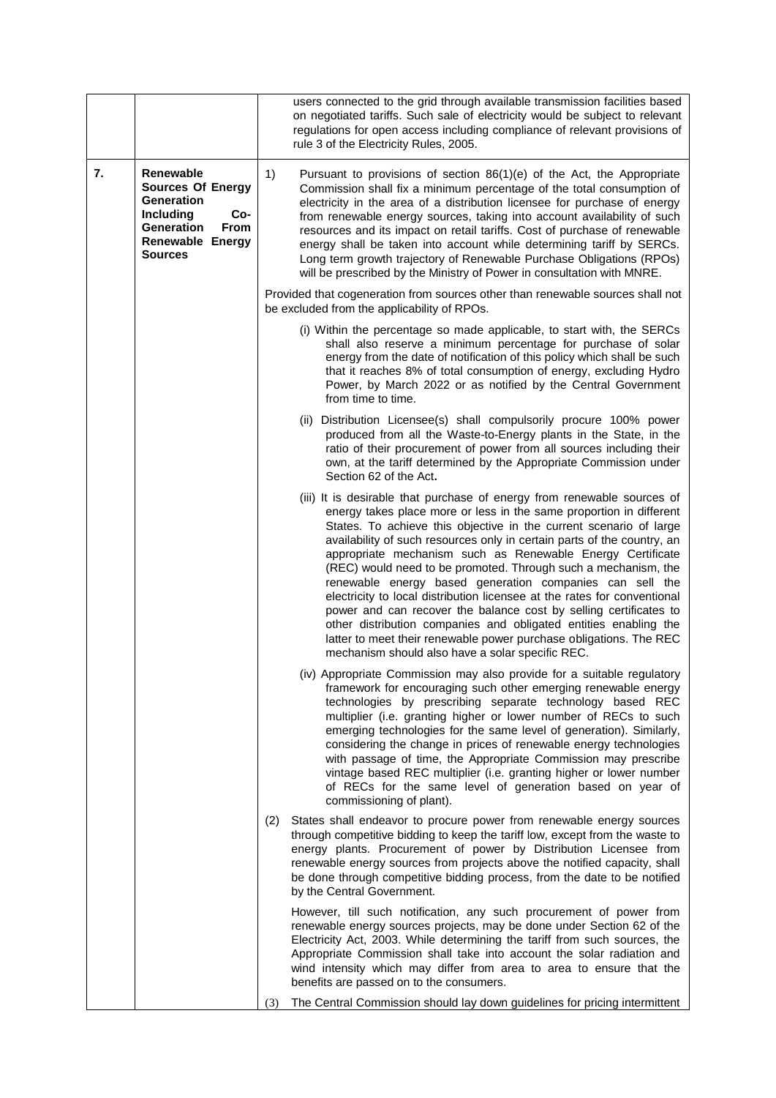|    |                                                                                                                                                          | users connected to the grid through available transmission facilities based<br>on negotiated tariffs. Such sale of electricity would be subject to relevant<br>regulations for open access including compliance of relevant provisions of<br>rule 3 of the Electricity Rules, 2005.                                                                                                                                                                                                                                                                                                                                                                                                                                                                                                                                                        |
|----|----------------------------------------------------------------------------------------------------------------------------------------------------------|--------------------------------------------------------------------------------------------------------------------------------------------------------------------------------------------------------------------------------------------------------------------------------------------------------------------------------------------------------------------------------------------------------------------------------------------------------------------------------------------------------------------------------------------------------------------------------------------------------------------------------------------------------------------------------------------------------------------------------------------------------------------------------------------------------------------------------------------|
| 7. | Renewable<br><b>Sources Of Energy</b><br><b>Generation</b><br><b>Including</b><br>Co-<br><b>Generation</b><br>From<br>Renewable Energy<br><b>Sources</b> | Pursuant to provisions of section 86(1)(e) of the Act, the Appropriate<br>1)<br>Commission shall fix a minimum percentage of the total consumption of<br>electricity in the area of a distribution licensee for purchase of energy<br>from renewable energy sources, taking into account availability of such<br>resources and its impact on retail tariffs. Cost of purchase of renewable<br>energy shall be taken into account while determining tariff by SERCs.<br>Long term growth trajectory of Renewable Purchase Obligations (RPOs)<br>will be prescribed by the Ministry of Power in consultation with MNRE.                                                                                                                                                                                                                      |
|    |                                                                                                                                                          | Provided that cogeneration from sources other than renewable sources shall not<br>be excluded from the applicability of RPOs.                                                                                                                                                                                                                                                                                                                                                                                                                                                                                                                                                                                                                                                                                                              |
|    |                                                                                                                                                          | (i) Within the percentage so made applicable, to start with, the SERCs<br>shall also reserve a minimum percentage for purchase of solar<br>energy from the date of notification of this policy which shall be such<br>that it reaches 8% of total consumption of energy, excluding Hydro<br>Power, by March 2022 or as notified by the Central Government<br>from time to time.                                                                                                                                                                                                                                                                                                                                                                                                                                                            |
|    |                                                                                                                                                          | (ii) Distribution Licensee(s) shall compulsorily procure 100% power<br>produced from all the Waste-to-Energy plants in the State, in the<br>ratio of their procurement of power from all sources including their<br>own, at the tariff determined by the Appropriate Commission under<br>Section 62 of the Act.                                                                                                                                                                                                                                                                                                                                                                                                                                                                                                                            |
|    |                                                                                                                                                          | (iii) It is desirable that purchase of energy from renewable sources of<br>energy takes place more or less in the same proportion in different<br>States. To achieve this objective in the current scenario of large<br>availability of such resources only in certain parts of the country, an<br>appropriate mechanism such as Renewable Energy Certificate<br>(REC) would need to be promoted. Through such a mechanism, the<br>renewable energy based generation companies can sell the<br>electricity to local distribution licensee at the rates for conventional<br>power and can recover the balance cost by selling certificates to<br>other distribution companies and obligated entities enabling the<br>latter to meet their renewable power purchase obligations. The REC<br>mechanism should also have a solar specific REC. |
|    |                                                                                                                                                          | (iv) Appropriate Commission may also provide for a suitable regulatory<br>framework for encouraging such other emerging renewable energy<br>technologies by prescribing separate technology based REC<br>multiplier (i.e. granting higher or lower number of RECs to such<br>emerging technologies for the same level of generation). Similarly,<br>considering the change in prices of renewable energy technologies<br>with passage of time, the Appropriate Commission may prescribe<br>vintage based REC multiplier (i.e. granting higher or lower number<br>of RECs for the same level of generation based on year of<br>commissioning of plant).                                                                                                                                                                                     |
|    |                                                                                                                                                          | States shall endeavor to procure power from renewable energy sources<br>(2)<br>through competitive bidding to keep the tariff low, except from the waste to<br>energy plants. Procurement of power by Distribution Licensee from<br>renewable energy sources from projects above the notified capacity, shall<br>be done through competitive bidding process, from the date to be notified<br>by the Central Government.                                                                                                                                                                                                                                                                                                                                                                                                                   |
|    |                                                                                                                                                          | However, till such notification, any such procurement of power from<br>renewable energy sources projects, may be done under Section 62 of the<br>Electricity Act, 2003. While determining the tariff from such sources, the<br>Appropriate Commission shall take into account the solar radiation and<br>wind intensity which may differ from area to area to ensure that the<br>benefits are passed on to the consumers.                                                                                                                                                                                                                                                                                                                                                                                                                  |
|    |                                                                                                                                                          | The Central Commission should lay down guidelines for pricing intermittent<br>(3)                                                                                                                                                                                                                                                                                                                                                                                                                                                                                                                                                                                                                                                                                                                                                          |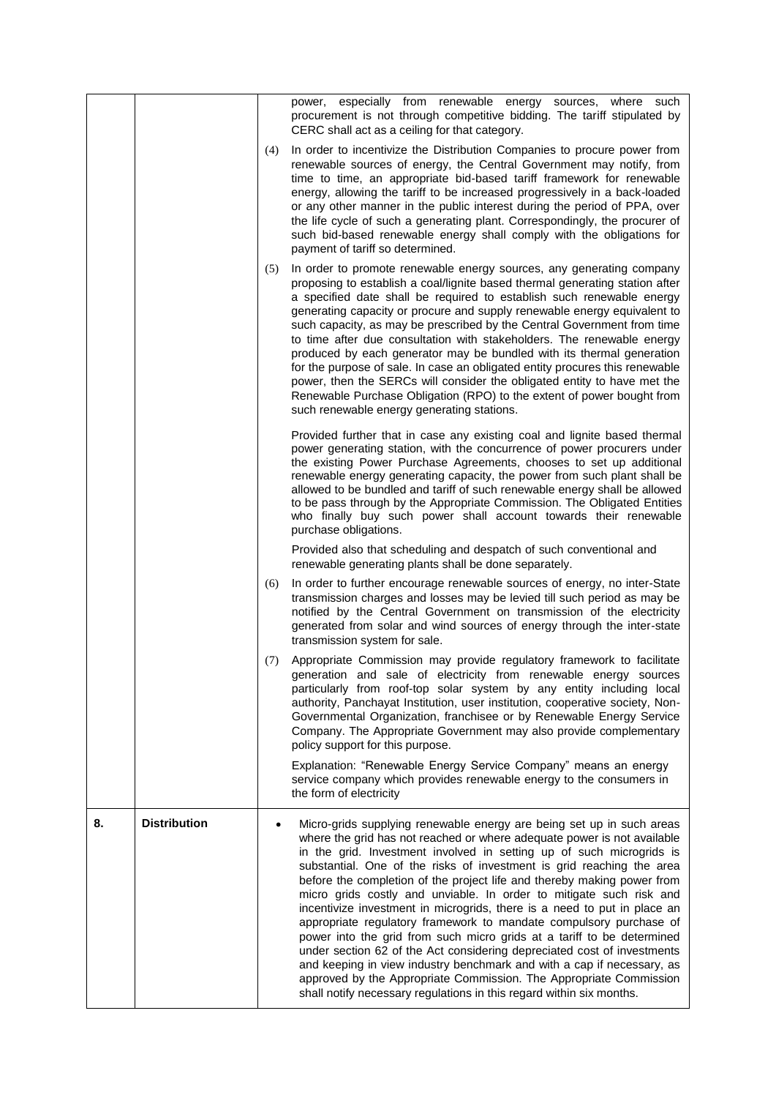|    |                     |     | power, especially from renewable energy sources, where such<br>procurement is not through competitive bidding. The tariff stipulated by<br>CERC shall act as a ceiling for that category.                                                                                                                                                                                                                                                                                                                                                                                                                                                                                                                                                                                                                                                                                                                                                                                          |
|----|---------------------|-----|------------------------------------------------------------------------------------------------------------------------------------------------------------------------------------------------------------------------------------------------------------------------------------------------------------------------------------------------------------------------------------------------------------------------------------------------------------------------------------------------------------------------------------------------------------------------------------------------------------------------------------------------------------------------------------------------------------------------------------------------------------------------------------------------------------------------------------------------------------------------------------------------------------------------------------------------------------------------------------|
|    |                     | (4) | In order to incentivize the Distribution Companies to procure power from<br>renewable sources of energy, the Central Government may notify, from<br>time to time, an appropriate bid-based tariff framework for renewable<br>energy, allowing the tariff to be increased progressively in a back-loaded<br>or any other manner in the public interest during the period of PPA, over<br>the life cycle of such a generating plant. Correspondingly, the procurer of<br>such bid-based renewable energy shall comply with the obligations for<br>payment of tariff so determined.                                                                                                                                                                                                                                                                                                                                                                                                   |
|    |                     | (5) | In order to promote renewable energy sources, any generating company<br>proposing to establish a coal/lignite based thermal generating station after<br>a specified date shall be required to establish such renewable energy<br>generating capacity or procure and supply renewable energy equivalent to<br>such capacity, as may be prescribed by the Central Government from time<br>to time after due consultation with stakeholders. The renewable energy<br>produced by each generator may be bundled with its thermal generation<br>for the purpose of sale. In case an obligated entity procures this renewable<br>power, then the SERCs will consider the obligated entity to have met the<br>Renewable Purchase Obligation (RPO) to the extent of power bought from<br>such renewable energy generating stations.                                                                                                                                                        |
|    |                     |     | Provided further that in case any existing coal and lignite based thermal<br>power generating station, with the concurrence of power procurers under<br>the existing Power Purchase Agreements, chooses to set up additional<br>renewable energy generating capacity, the power from such plant shall be<br>allowed to be bundled and tariff of such renewable energy shall be allowed<br>to be pass through by the Appropriate Commission. The Obligated Entities<br>who finally buy such power shall account towards their renewable<br>purchase obligations.                                                                                                                                                                                                                                                                                                                                                                                                                    |
|    |                     |     | Provided also that scheduling and despatch of such conventional and<br>renewable generating plants shall be done separately.                                                                                                                                                                                                                                                                                                                                                                                                                                                                                                                                                                                                                                                                                                                                                                                                                                                       |
|    |                     | (6) | In order to further encourage renewable sources of energy, no inter-State<br>transmission charges and losses may be levied till such period as may be<br>notified by the Central Government on transmission of the electricity<br>generated from solar and wind sources of energy through the inter-state<br>transmission system for sale.                                                                                                                                                                                                                                                                                                                                                                                                                                                                                                                                                                                                                                         |
|    |                     | (7) | Appropriate Commission may provide regulatory framework to facilitate<br>generation and sale of electricity from renewable energy sources<br>particularly from roof-top solar system by any entity including local<br>authority, Panchayat Institution, user institution, cooperative society, Non-<br>Governmental Organization, franchisee or by Renewable Energy Service<br>Company. The Appropriate Government may also provide complementary<br>policy support for this purpose.                                                                                                                                                                                                                                                                                                                                                                                                                                                                                              |
|    |                     |     | Explanation: "Renewable Energy Service Company" means an energy<br>service company which provides renewable energy to the consumers in<br>the form of electricity                                                                                                                                                                                                                                                                                                                                                                                                                                                                                                                                                                                                                                                                                                                                                                                                                  |
| 8. | <b>Distribution</b> |     | Micro-grids supplying renewable energy are being set up in such areas<br>where the grid has not reached or where adequate power is not available<br>in the grid. Investment involved in setting up of such microgrids is<br>substantial. One of the risks of investment is grid reaching the area<br>before the completion of the project life and thereby making power from<br>micro grids costly and unviable. In order to mitigate such risk and<br>incentivize investment in microgrids, there is a need to put in place an<br>appropriate regulatory framework to mandate compulsory purchase of<br>power into the grid from such micro grids at a tariff to be determined<br>under section 62 of the Act considering depreciated cost of investments<br>and keeping in view industry benchmark and with a cap if necessary, as<br>approved by the Appropriate Commission. The Appropriate Commission<br>shall notify necessary regulations in this regard within six months. |